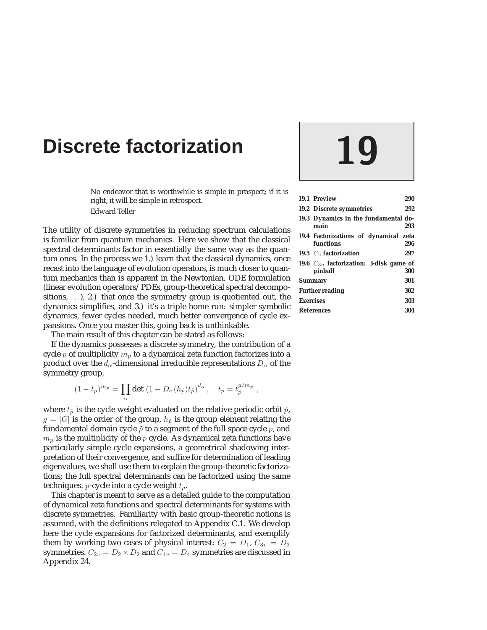# **Discrete factorization**

No endeavor that is worthwhile is simple in prospect; if it is right, it will be simple in retrospect. Edward Teller

The utility of discrete symmetries in reducing spectrum calculations is familiar from quantum mechanics. Here we show that the classical spectral determinants factor in essentially the same way as the quantum ones. In the process we 1.) learn that the classical dynamics, once recast into the language of evolution operators, is much closer to quantum mechanics than is apparent in the Newtonian, ODE formulation (linear evolution operators/PDEs, group-theoretical spectral decompositions, ...), 2.) that once the symmetry group is quotiented out, the dynamics simplifies, and 3.) it's a triple home run: simpler symbolic dynamics, fewer cycles needed, much better convergence of cycle expansions. Once you master this, going back is unthinkable.

The main result of this chapter can be stated as follows:

If the dynamics possesses a discrete symmetry, the contribution of a cycle  $p$  of multiplicity  $m_p$  to a dynamical zeta function factorizes into a product over the  $d_{\alpha}$ -dimensional irreducible representations  $D_{\alpha}$  of the symmetry group,

$$
(1-t_p)^{m_p} = \prod_{\alpha} \det (1 - D_{\alpha}(h_{\tilde{p}}) t_{\tilde{p}})^{d_{\alpha}}, \quad t_p = t_{\tilde{p}}^{g/m_p},
$$

where  $t_{\tilde{p}}$  is the cycle weight evaluated on the relative periodic orbit  $\tilde{p}$ ,  $g = |G|$  is the order of the group,  $h_{\tilde{p}}$  is the group element relating the fundamental domain cycle  $\tilde{p}$  to a segment of the full space cycle  $p$ , and  $m_p$  is the multiplicity of the p cycle. As dynamical zeta functions have particularly simple cycle expansions, a geometrical shadowing interpretation of their convergence, and suffice for determination of leading eigenvalues, we shall use them to explain the group-theoretic factorizations; the full spectral determinants can be factorized using the same techniques.  $p$ -cycle into a cycle weight  $t_p$ .

This chapter is meant to serve as a detailed guide to the computation of dynamical zeta functions and spectral determinants for systems with discrete symmetries. Familiarity with basic group-theoretic notions is assumed, with the definitions relegated to Appendix C.1. We develop here the cycle expansions for factorized determinants, and exemplify them by working two cases of physical interest:  $C_2 = D_1$ ,  $C_{3v} = D_3$ symmetries.  $C_{2v} = D_2 \times D_2$  and  $C_{4v} = D_4$  symmetries are discussed in Appendix 24.

|                        | 19.1 Preview                                           | 290 |  |
|------------------------|--------------------------------------------------------|-----|--|
|                        | 19.2 Discrete symmetries                               |     |  |
|                        | 19.3 Dynamics in the fundamental do-<br>main           | 293 |  |
|                        | 19.4 Factorizations of dynamical zeta<br>functions     | 296 |  |
|                        | 19.5 $C_2$ factorization                               | 297 |  |
|                        | 19.6 $C_{3v}$ factorization: 3-disk game of<br>pinball | 300 |  |
| Summary                |                                                        |     |  |
| <b>Further reading</b> |                                                        |     |  |
| <b>Exercises</b>       |                                                        |     |  |
| <b>References</b>      |                                                        |     |  |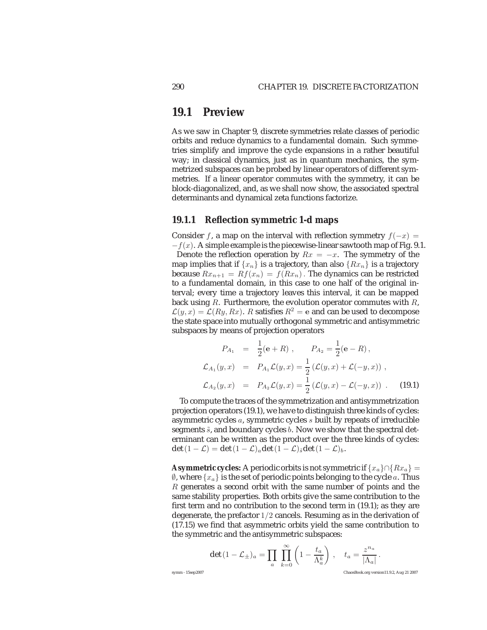### **19.1 Preview**

As we saw in Chapter 9, discrete symmetries relate classes of periodic orbits and reduce dynamics to a fundamental domain. Such symmetries simplify and improve the cycle expansions in a rather beautiful way; in classical dynamics, just as in quantum mechanics, the symmetrized subspaces can be probed by linear operators of different symmetries. If a linear operator commutes with the symmetry, it can be block-diagonalized, and, as we shall now show, the associated spectral determinants and dynamical zeta functions factorize.

#### **19.1.1 Reflection symmetric 1-d maps**

Consider f, a map on the interval with reflection symmetry  $f(-x) =$  $-f(x)$ . A simple example is the piecewise-linear sawtooth map of Fig. 9.1.

Denote the reflection operation by  $Rx = -x$ . The symmetry of the map implies that if  $\{x_n\}$  is a trajectory, than also  $\{Rx_n\}$  is a trajectory because  $Rx_{n+1} = Rf(x_n) = f(Rx_n)$ . The dynamics can be restricted to a fundamental domain, in this case to one half of the original interval; every time a trajectory leaves this interval, it can be mapped back using  $R$ . Furthermore, the evolution operator commutes with  $R$ ,  $\mathcal{L}(y, x) = \mathcal{L}(Ry, Rx)$ . R satisfies  $R^2 = e$  and can be used to decompose the state space into mutually orthogonal symmetric and antisymmetric subspaces by means of projection operators

$$
P_{A_1} = \frac{1}{2}(\mathbf{e} + R), \qquad P_{A_2} = \frac{1}{2}(\mathbf{e} - R),
$$
  
\n
$$
\mathcal{L}_{A_1}(y, x) = P_{A_1}\mathcal{L}(y, x) = \frac{1}{2}\left(\mathcal{L}(y, x) + \mathcal{L}(-y, x)\right),
$$
  
\n
$$
\mathcal{L}_{A_2}(y, x) = P_{A_2}\mathcal{L}(y, x) = \frac{1}{2}\left(\mathcal{L}(y, x) - \mathcal{L}(-y, x)\right).
$$
 (19.1)

To compute the traces of the symmetrization and antisymmetrization projection operators (19.1), we have to distinguish three kinds of cycles: asymmetric cycles a, symmetric cycles s built by repeats of irreducible segments  $\tilde{s}$ , and boundary cycles  $b$ . Now we show that the spectral determinant can be written as the product over the three kinds of cycles: det  $(1 - \mathcal{L}) = \det(1 - \mathcal{L})_a \det(1 - \mathcal{L})_{\tilde{s}} \det(1 - \mathcal{L})_b.$ 

**Asymmetric cycles:** A periodic orbits is not symmetric if  $\{x_a\} \cap \{Rx_a\} =$  $\emptyset$ , where  $\{x_a\}$  is the set of periodic points belonging to the cycle a. Thus R generates a second orbit with the same number of points and the same stability properties. Both orbits give the same contribution to the first term and no contribution to the second term in (19.1); as they are degenerate, the prefactor  $1/2$  cancels. Resuming as in the derivation of (17.15) we find that asymmetric orbits yield the same contribution to the symmetric and the antisymmetric subspaces:

$$
\det (1 - \mathcal{L}_{\pm})_a = \prod_a \prod_{k=0}^{\infty} \left(1 - \frac{t_a}{\Lambda_a^k}\right), \quad t_a = \frac{z^{n_a}}{|\Lambda_a|}.
$$

symm - 15sep2007 ChaosBook.org version11.9.2, Aug 21 2007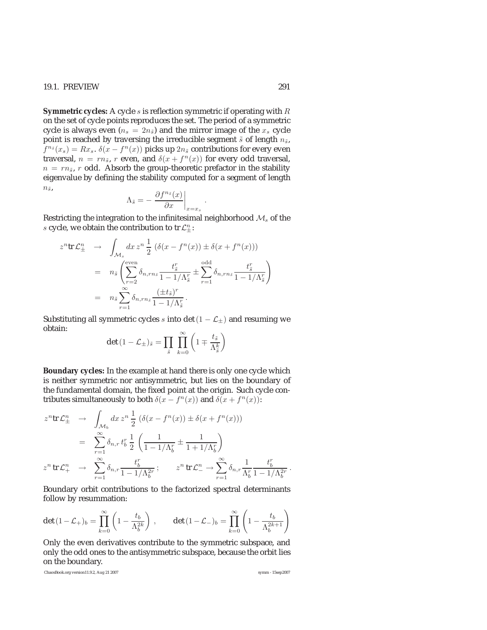**Symmetric cycles:** A cycle s is reflection symmetric if operating with R on the set of cycle points reproduces the set. The period of a symmetric cycle is always even ( $n_s = 2n_{\tilde{s}}$ ) and the mirror image of the  $x_s$  cycle point is reached by traversing the irreducible segment  $\tilde{s}$  of length  $n_{\tilde{s}}$ ,  $f^{n_{\tilde{s}}}(x_s) = Rx_s$ .  $\delta(x - f^n(x))$  picks up  $2n_{\tilde{s}}$  contributions for every even traversal,  $n = rn_{\tilde{s}}, r$  even, and  $\delta(x + f^{n}(x))$  for every odd traversal,  $n = rn<sub>5</sub>$ , r odd. Absorb the group-theoretic prefactor in the stability eigenvalue by defining the stability computed for a segment of length  $n_{\tilde{s}},$ 

$$
\Lambda_{\tilde{s}} = -\left. \frac{\partial f^{n_{\tilde{s}}}(x)}{\partial x} \right|_{x=x_s}
$$

.

Restricting the integration to the infinitesimal neighborhood  $\mathcal{M}_s$  of the s cycle, we obtain the contribution to tr $\mathcal{L}_\pm^n$ :

$$
z^{n}\text{tr }\mathcal{L}_{\pm}^{n} \rightarrow \int_{\mathcal{M}_{s}} dx \, z^{n} \, \frac{1}{2} \left( \delta(x - f^{n}(x)) \pm \delta(x + f^{n}(x)) \right)
$$

$$
= n_{\tilde{s}} \left( \sum_{r=2}^{\text{even}} \delta_{n, rn_{\tilde{s}}} \frac{t_{\tilde{s}}^{r}}{1 - 1/\Lambda_{\tilde{s}}^{r}} \pm \sum_{r=1}^{\text{odd}} \delta_{n, rn_{\tilde{s}}} \frac{t_{\tilde{s}}^{r}}{1 - 1/\Lambda_{\tilde{s}}^{r}} \right)
$$

$$
= n_{\tilde{s}} \sum_{r=1}^{\infty} \delta_{n, rn_{\tilde{s}}} \frac{(\pm t_{\tilde{s}})^{r}}{1 - 1/\Lambda_{\tilde{s}}^{r}}.
$$

Substituting all symmetric cycles s into det( $1 - \mathcal{L}_{\pm}$ ) and resuming we obtain:

$$
\det(1 - \mathcal{L}_{\pm})_{\tilde{s}} = \prod_{\tilde{s}} \prod_{k=0}^{\infty} \left(1 \mp \frac{t_{\tilde{s}}}{\Lambda_{\tilde{s}}^k}\right)
$$

**Boundary cycles:** In the example at hand there is only one cycle which is neither symmetric nor antisymmetric, but lies on the boundary of the fundamental domain, the fixed point at the origin. Such cycle contributes simultaneously to both  $\delta(x - f^n(x))$  and  $\delta(x + f^n(x))$ :

$$
z^{n}\text{tr }\mathcal{L}_{\pm}^{n} \rightarrow \int_{\mathcal{M}_{b}} dx \, z^{n} \frac{1}{2} \left( \delta(x - f^{n}(x)) \pm \delta(x + f^{n}(x)) \right)
$$

$$
= \sum_{r=1}^{\infty} \delta_{n,r} t_{b}^{r} \frac{1}{2} \left( \frac{1}{1 - 1/\Lambda_{b}^{r}} \pm \frac{1}{1 + 1/\Lambda_{b}^{r}} \right)
$$

$$
z^{n}\text{tr }\mathcal{L}_{+}^{n} \rightarrow \sum_{r=1}^{\infty} \delta_{n,r} \frac{t_{b}^{r}}{1 - 1/\Lambda_{b}^{2r}}; \qquad z^{n}\text{tr }\mathcal{L}_{-}^{n} \rightarrow \sum_{r=1}^{\infty} \delta_{n,r} \frac{1}{\Lambda_{b}^{r}} \frac{t_{b}^{r}}{1 - 1/\Lambda_{b}^{2r}}.
$$

Boundary orbit contributions to the factorized spectral determinants follow by resummation:

$$
\det\, (1-{\mathcal L}_+)_b = \prod_{k=0}^\infty \left(1-\frac{t_b}{\Lambda_b^{2k}}\right)\,, \qquad \det\, (1-{\mathcal L}_-)_b = \prod_{k=0}^\infty \left(1-\frac{t_b}{\Lambda_b^{2k+1}}\right)
$$

Only the even derivatives contribute to the symmetric subspace, and only the odd ones to the antisymmetric subspace, because the orbit lies on the boundary.

ChaosBook.org version11.9.2, Aug 21 2007 symm - 15sep2007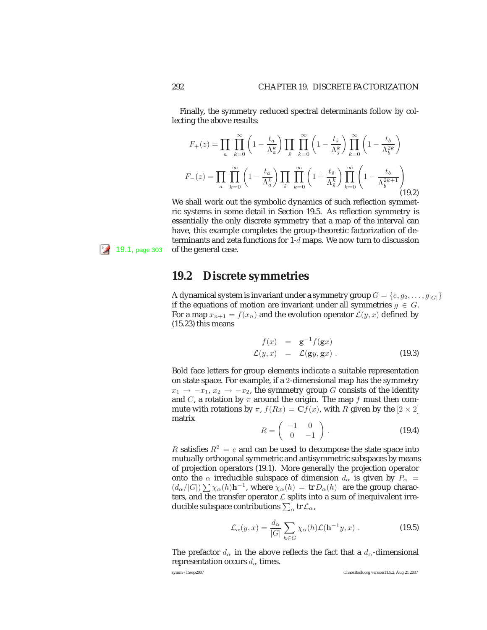Finally, the symmetry reduced spectral determinants follow by collecting the above results:

$$
F_{+}(z) = \prod_{a} \prod_{k=0}^{\infty} \left(1 - \frac{t_{a}}{\Lambda_{a}^{k}}\right) \prod_{\tilde{s}} \prod_{k=0}^{\infty} \left(1 - \frac{t_{\tilde{s}}}{\Lambda_{\tilde{s}}^{k}}\right) \prod_{k=0}^{\infty} \left(1 - \frac{t_{b}}{\Lambda_{b}^{2k}}\right)
$$

$$
F_{-}(z) = \prod_{a} \prod_{k=0}^{\infty} \left(1 - \frac{t_{a}}{\Lambda_{a}^{k}}\right) \prod_{\tilde{s}} \prod_{k=0}^{\infty} \left(1 + \frac{t_{\tilde{s}}}{\Lambda_{\tilde{s}}^{k}}\right) \prod_{k=0}^{\infty} \left(1 - \frac{t_{b}}{\Lambda_{b}^{2k+1}}\right)
$$
(19.2)

We shall work out the symbolic dynamics of such reflection symmetric systems in some detail in Section 19.5. As reflection symmetry is essentially the only discrete symmetry that a map of the interval can have, this example completes the group-theoretic factorization of determinants and zeta functions for 1-d maps. We now turn to discussion  $\left| \frac{5}{4} \right|$  19.1, page 303 of the general case.

### **19.2 Discrete symmetries**

A dynamical system is invariant under a symmetry group  $G = \{e, g_2, \ldots, g_{|G|}\}\$ if the equations of motion are invariant under all symmetries  $g \in G$ . For a map  $x_{n+1} = f(x_n)$  and the evolution operator  $\mathcal{L}(y, x)$  defined by (15.23) this means

$$
f(x) = \mathbf{g}^{-1} f(\mathbf{g} x)
$$
  
\n
$$
\mathcal{L}(y, x) = \mathcal{L}(\mathbf{g} y, \mathbf{g} x).
$$
 (19.3)

Bold face letters for group elements indicate a suitable representation on state space. For example, if a 2-dimensional map has the symmetry  $x_1 \rightarrow -x_1, x_2 \rightarrow -x_2$ , the symmetry group G consists of the identity and C, a rotation by  $\pi$  around the origin. The map f must then commute with rotations by  $\pi$ ,  $f(Rx) = \mathbf{C}f(x)$ , with R given by the  $[2 \times 2]$ matrix

$$
R = \left(\begin{array}{cc} -1 & 0\\ 0 & -1 \end{array}\right). \tag{19.4}
$$

R satisfies  $R^2 = e$  and can be used to decompose the state space into mutually orthogonal symmetric and antisymmetric subspaces by means of projection operators (19.1). More generally the projection operator onto the  $\alpha$  irreducible subspace of dimension  $d_{\alpha}$  is given by  $P_{\alpha}$  =  $\left(\frac{d_{\alpha}}{|G|}\right) \sum \chi_{\alpha}(h)h^{-1}$ , where  $\chi_{\alpha}(h) = \text{tr } D_{\alpha}(h)$  are the group characters, and the transfer operator  $\mathcal L$  splits into a sum of inequivalent irreducible subspace contributions  $\sum_{\alpha} \text{tr}\, \mathcal{L}_{\alpha}$ ,

$$
\mathcal{L}_{\alpha}(y,x) = \frac{d_{\alpha}}{|G|} \sum_{h \in G} \chi_{\alpha}(h) \mathcal{L}(\mathbf{h}^{-1}y,x) .
$$
 (19.5)

The prefactor  $d_{\alpha}$  in the above reflects the fact that a  $d_{\alpha}$ -dimensional representation occurs  $d_{\alpha}$  times.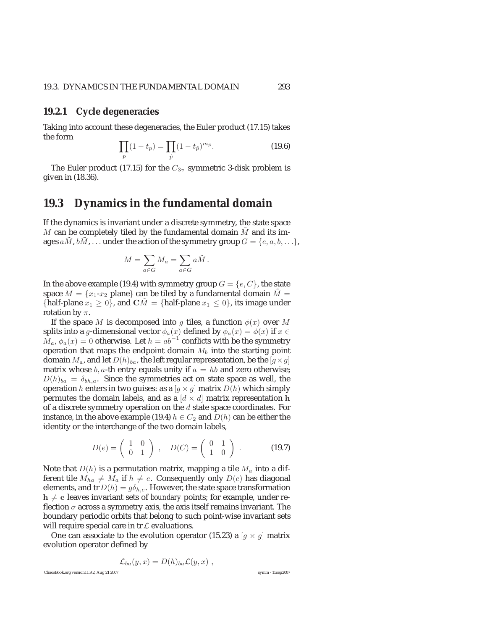#### **19.2.1 Cycle degeneracies**

Taking into account these degeneracies, the Euler product (17.15) takes the form

$$
\prod_{p} (1 - t_p) = \prod_{\hat{p}} (1 - t_{\hat{p}})^{m_{\hat{p}}}.
$$
\n(19.6)

The Euler product (17.15) for the  $C_{3v}$  symmetric 3-disk problem is given in (18.36).

### **19.3 Dynamics in the fundamental domain**

If the dynamics is invariant under a discrete symmetry, the state space  $M$  can be completely tiled by the fundamental domain  $M$  and its images  $aM$ ,  $bM$ , ... under the action of the symmetry group  $G = \{e, a, b, \ldots\}$ ,

$$
M = \sum_{a \in G} M_a = \sum_{a \in G} a \tilde{M} \, .
$$

In the above example (19.4) with symmetry group  $G = \{e, C\}$ , the state space  $M = \{x_1-x_2 \text{ plane}\}\$ can be tiled by a fundamental domain  $\tilde{M} =$ {half-plane  $x_1 \geq 0$ }, and  $\overline{CM} =$  {half-plane  $x_1 \leq 0$ }, its image under rotation by  $\pi$ .

If the space M is decomposed into g tiles, a function  $\phi(x)$  over M splits into a  $g$ -dimensional vector  $\phi_a(x)$  defined by  $\phi_a(x) = \phi(x)$  if  $x \in$  $M_a$ ,  $\phi_a(x)=0$  otherwise. Let  $h = ab^{-1}$  conflicts with be the symmetry operation that maps the endpoint domain  $M_b$  into the starting point domain  $M_a$ , and let  $D(h)_{ba}$ , the left regular representation, be the  $[g \times g]$ matrix whose  $b$ ,  $a$ -th entry equals unity if  $a = hb$  and zero otherwise;  $D(h)_{ba} = \delta_{bh,a}$ . Since the symmetries act on state space as well, the operation h enters in two guises: as a  $[g \times g]$  matrix  $D(h)$  which simply permutes the domain labels, and as a  $\left[ d \times d \right]$  matrix representation **h** of a discrete symmetry operation on the d state space coordinates. For instance, in the above example (19.4)  $h \in C_2$  and  $D(h)$  can be either the identity or the interchange of the two domain labels,

$$
D(e) = \left(\begin{array}{cc} 1 & 0 \\ 0 & 1 \end{array}\right) , \quad D(C) = \left(\begin{array}{cc} 0 & 1 \\ 1 & 0 \end{array}\right) . \tag{19.7}
$$

Note that  $D(h)$  is a permutation matrix, mapping a tile  $M_a$  into a different tile  $M_{ha} \neq M_a$  if  $h \neq e$ . Consequently only  $D(e)$  has diagonal elements, and tr  $D(h) = g\delta_{h,e}$ . However, the state space transformation  $h \neq e$  leaves invariant sets of *boundary* points; for example, under reflection  $\sigma$  across a symmetry axis, the axis itself remains invariant. The boundary periodic orbits that belong to such point-wise invariant sets will require special care in  $tr \mathcal{L}$  evaluations.

One can associate to the evolution operator (15.23) a  $[g \times g]$  matrix evolution operator defined by

$$
\mathcal{L}_{ba}(y,x) = D(h)_{ba}\mathcal{L}(y,x) ,
$$

ChaosBook.org version11.9.2, Aug 21 2007 symm - 15sep2007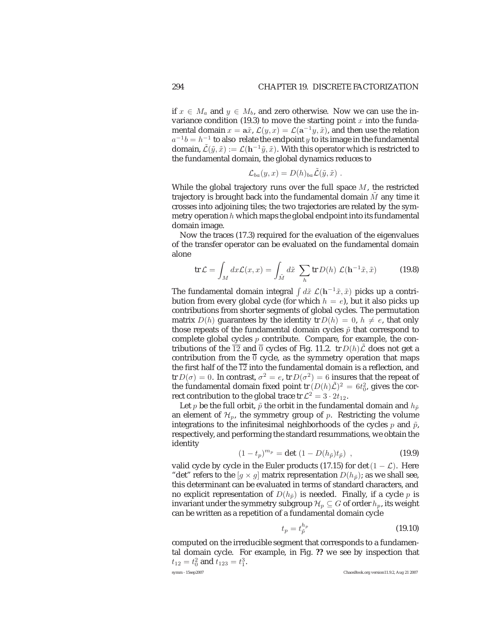if  $x \in M_a$  and  $y \in M_b$ , and zero otherwise. Now we can use the invariance condition (19.3) to move the starting point  $x$  into the fundamental domain  $x = a\tilde{x}$ ,  $\mathcal{L}(y, x) = \mathcal{L}(a^{-1}y, \tilde{x})$ , and then use the relation  $a^{-1}b = h^{-1}$  to also relate the endpoint y to its image in the fundamental domain,  $\tilde{\mathcal{L}}(\tilde{y}, \tilde{x}) := \mathcal{L}(\mathbf{h}^{-1}\tilde{y}, \tilde{x})$ . With this operator which is restricted to the fundamental domain, the global dynamics reduces to

$$
\mathcal{L}_{ba}(y,x) = D(h)_{ba}\tilde{\mathcal{L}}(\tilde{y},\tilde{x}) .
$$

While the global trajectory runs over the full space  $M$ , the restricted trajectory is brought back into the fundamental domain  $M$  any time it crosses into adjoining tiles; the two trajectories are related by the symmetry operation  $h$  which maps the global endpoint into its fundamental domain image.

Now the traces (17.3) required for the evaluation of the eigenvalues of the transfer operator can be evaluated on the fundamental domain alone

$$
\operatorname{tr} \mathcal{L} = \int_M dx \mathcal{L}(x, x) = \int_{\tilde{M}} d\tilde{x} \sum_h \operatorname{tr} D(h) \mathcal{L}(\mathbf{h}^{-1}\tilde{x}, \tilde{x}) \tag{19.8}
$$

The fundamental domain integral  $\int d\tilde{x} \mathcal{L}(\mathbf{h}^{-1}\tilde{x}, \tilde{x})$  picks up a contribution from every global cycle (for which  $h = e$ ), but it also picks up contributions from shorter segments of global cycles. The permutation matrix  $D(h)$  guarantees by the identity tr  $D(h)=0, h \neq e$ , that only those repeats of the fundamental domain cycles  $\tilde{p}$  that correspond to complete global cycles  $p$  contribute. Compare, for example, the contributions of the  $\overline{12}$  and  $\overline{0}$  cycles of Fig. 11.2. tr  $D(h)\mathcal{L}$  does not get a contribution from the  $\overline{0}$  cycle, as the symmetry operation that maps the first half of the  $\overline{12}$  into the fundamental domain is a reflection, and tr  $D(\sigma)=0$ . In contrast,  $\sigma^2=e$ , tr  $D(\sigma^2)=6$  insures that the repeat of the fundamental domain fixed point  $\text{tr}(D(h)\tilde{L})^2 = 6t_0^2$ , gives the correct contribution to the global trace tr  $\mathcal{L}^2 = 3 \cdot 2t_{12}$ .

Let  $p$  be the full orbit,  $\tilde{p}$  the orbit in the fundamental domain and  $h_{\tilde{p}}$ an element of  $\mathcal{H}_p$ , the symmetry group of p. Restricting the volume integrations to the infinitesimal neighborhoods of the cycles  $p$  and  $\tilde{p}$ , respectively, and performing the standard resummations, we obtain the identity

$$
(1 - t_p)^{m_p} = \det (1 - D(h_{\tilde{p}}) t_{\tilde{p}}) , \qquad (19.9)
$$

valid cycle by cycle in the Euler products (17.15) for det( $1 - \mathcal{L}$ ). Here "det" refers to the [ $g \times g$ ] matrix representation  $D(h_{\tilde{p}})$ ; as we shall see, this determinant can be evaluated in terms of standard characters, and no explicit representation of  $D(h_{\tilde{p}})$  is needed. Finally, if a cycle p is invariant under the symmetry subgroup  $\mathcal{H}_p \subseteq G$  of order  $h_p,$  its weight can be written as a repetition of a fundamental domain cycle

$$
t_p = t_p^{h_p} \tag{19.10}
$$

computed on the irreducible segment that corresponds to a fundamental domain cycle. For example, in Fig. **??** we see by inspection that  $t_{12} = t_0^2$  and  $t_{123} = t_1^3$ . symm - 15sep2007 ChaosBook.org version11.9.2, Aug 21 2007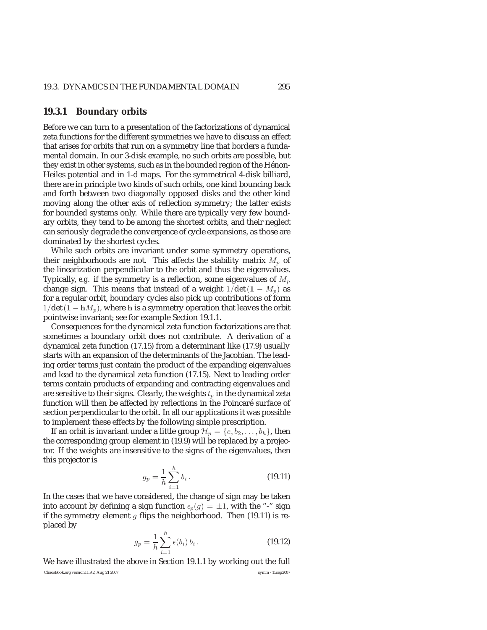#### **19.3.1 Boundary orbits**

Before we can turn to a presentation of the factorizations of dynamical zeta functions for the different symmetries we have to discuss an effect that arises for orbits that run on a symmetry line that borders a fundamental domain. In our 3-disk example, no such orbits are possible, but they exist in other systems, such as in the bounded region of the Hénon-Heiles potential and in 1-d maps. For the symmetrical 4-disk billiard, there are in principle two kinds of such orbits, one kind bouncing back and forth between two diagonally opposed disks and the other kind moving along the other axis of reflection symmetry; the latter exists for bounded systems only. While there are typically very few boundary orbits, they tend to be among the shortest orbits, and their neglect can seriously degrade the convergence of cycle expansions, as those are dominated by the shortest cycles.

While such orbits are invariant under some symmetry operations, their neighborhoods are not. This affects the stability matrix  $M_p$  of the linearization perpendicular to the orbit and thus the eigenvalues. Typically, *e.g.* if the symmetry is a reflection, some eigenvalues of  $M_p$ change sign. This means that instead of a weight  $1/\text{det}(1 - M_p)$  as for a regular orbit, boundary cycles also pick up contributions of form  $1/\text{det}(1 - hM_p)$ , where h is a symmetry operation that leaves the orbit pointwise invariant; see for example Section 19.1.1.

Consequences for the dynamical zeta function factorizations are that sometimes a boundary orbit does not contribute. A derivation of a dynamical zeta function (17.15) from a determinant like (17.9) usually starts with an expansion of the determinants of the Jacobian. The leading order terms just contain the product of the expanding eigenvalues and lead to the dynamical zeta function (17.15). Next to leading order terms contain products of expanding and contracting eigenvalues and are sensitive to their signs. Clearly, the weights  $t_p$  in the dynamical zeta function will then be affected by reflections in the Poincaré surface of section perpendicular to the orbit. In all our applications it was possible to implement these effects by the following simple prescription.

If an orbit is invariant under a little group  $\mathcal{H}_p = \{e, b_2, \dots, b_h\}$ , then the corresponding group element in (19.9) will be replaced by a projector. If the weights are insensitive to the signs of the eigenvalues, then this projector is

$$
g_p = \frac{1}{h} \sum_{i=1}^{h} b_i \,. \tag{19.11}
$$

In the cases that we have considered, the change of sign may be taken into account by defining a sign function  $\epsilon_p(g) = \pm 1$ , with the "-" sign if the symmetry element  $g$  flips the neighborhood. Then (19.11) is replaced by

$$
g_p = \frac{1}{h} \sum_{i=1}^{h} \epsilon(b_i) b_i.
$$
 (19.12)

We have illustrated the above in Section 19.1.1 by working out the full ChaosBook.org version11.9.2, Aug 21 2007 symm - 15sep2007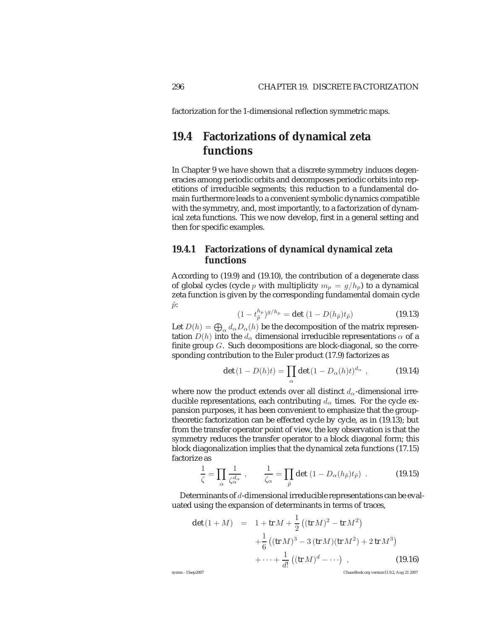factorization for the 1-dimensional reflection symmetric maps.

### **19.4 Factorizations of dynamical zeta functions**

In Chapter 9 we have shown that a discrete symmetry induces degeneracies among periodic orbits and decomposes periodic orbits into repetitions of irreducible segments; this reduction to a fundamental domain furthermore leads to a convenient symbolic dynamics compatible with the symmetry, and, most importantly, to a factorization of dynamical zeta functions. This we now develop, first in a general setting and then for specific examples.

### **19.4.1 Factorizations of dynamical dynamical zeta functions**

According to (19.9) and (19.10), the contribution of a degenerate class of global cycles (cycle p with multiplicity  $m_p = g/h_p$ ) to a dynamical zeta function is given by the corresponding fundamental domain cycle  $\tilde{p}$ :

$$
(1 - t_{\tilde{p}}^{h_p})^{g/h_p} = \det (1 - D(h_{\tilde{p}}) t_{\tilde{p}})
$$
\n(19.13)

Let  $D(h) = \bigoplus_{\alpha} d_{\alpha} D_{\alpha}(h)$  be the decomposition of the matrix representation  $D(h)$  into the  $d_{\alpha}$  dimensional irreducible representations  $\alpha$  of a finite group  $G$ . Such decompositions are block-diagonal, so the corresponding contribution to the Euler product (17.9) factorizes as

$$
\det(1 - D(h)t) = \prod_{\alpha} \det(1 - D_{\alpha}(h)t)^{d_{\alpha}}, \qquad (19.14)
$$

where now the product extends over all distinct  $d_{\alpha}$ -dimensional irreducible representations, each contributing  $d_{\alpha}$  times. For the cycle expansion purposes, it has been convenient to emphasize that the grouptheoretic factorization can be effected cycle by cycle, as in (19.13); but from the transfer operator point of view, the key observation is that the symmetry reduces the transfer operator to a block diagonal form; this block diagonalization implies that the dynamical zeta functions (17.15) factorize as

$$
\frac{1}{\zeta} = \prod_{\alpha} \frac{1}{\zeta_{\alpha}^{d_{\alpha}}}, \qquad \frac{1}{\zeta_{\alpha}} = \prod_{\tilde{p}} \det (1 - D_{\alpha}(h_{\tilde{p}}) t_{\tilde{p}}) . \tag{19.15}
$$

Determinants of d-dimensional irreducible representations can be evaluated using the expansion of determinants in terms of traces,

$$
\det (1 + M) = 1 + \operatorname{tr} M + \frac{1}{2} ((\operatorname{tr} M)^2 - \operatorname{tr} M^2)
$$
  
+ 
$$
\frac{1}{6} ((\operatorname{tr} M)^3 - 3 (\operatorname{tr} M)(\operatorname{tr} M^2) + 2 \operatorname{tr} M^3)
$$
  
+ 
$$
\cdots + \frac{1}{d!} ((\operatorname{tr} M)^d - \cdots) ,
$$
 (19.16)

symm - 15sep2007 ChaosBook.org version11.9.2, Aug 21 2007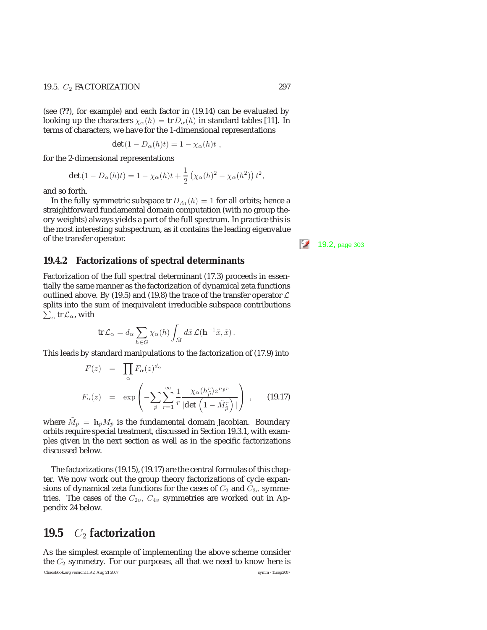#### 19.5.  $C_2$  FACTORIZATION 297

(see (**??**), for example) and each factor in (19.14) can be evaluated by looking up the characters  $\chi_{\alpha}(h) = \text{tr} D_{\alpha}(h)$  in standard tables [11]. In terms of characters, we have for the 1-dimensional representations

$$
\det(1-D_{\alpha}(h)t)=1-\chi_{\alpha}(h)t,
$$

for the 2-dimensional representations

$$
\det(1 - D_{\alpha}(h)t) = 1 - \chi_{\alpha}(h)t + \frac{1}{2} \left( \chi_{\alpha}(h)^2 - \chi_{\alpha}(h^2) \right) t^2,
$$

and so forth.

In the fully symmetric subspace tr  $D_{A_1}(h)=1$  for all orbits; hence a straightforward fundamental domain computation (with no group theory weights) always yields a part of the full spectrum. In practice this is the most interesting subspectrum, as it contains the leading eigenvalue of the transfer operator.  $\begin{bmatrix} 5/2 & 19.2, \text{ page } 303 \end{bmatrix}$ 

#### **19.4.2 Factorizations of spectral determinants**

Factorization of the full spectral determinant (17.3) proceeds in essentially the same manner as the factorization of dynamical zeta functions outlined above. By (19.5) and (19.8) the trace of the transfer operator  $\mathcal L$ splits into the sum of inequivalent irreducible subspace contributions  $\sum_\alpha \operatorname{tr}\mathcal{L}_\alpha$ , with

$$
\operatorname{tr}\mathcal{L}_{\alpha}=d_{\alpha}\sum_{h\in G}\chi_{\alpha}(h)\int_{\tilde{M}}d\tilde{x}\,\mathcal{L}(\mathbf{h}^{-1}\tilde{x},\tilde{x})\,.
$$

This leads by standard manipulations to the factorization of (17.9) into

$$
F(z) = \prod_{\alpha} F_{\alpha}(z)^{d_{\alpha}}
$$
  
\n
$$
F_{\alpha}(z) = \exp\left(-\sum_{\tilde{p}} \sum_{r=1}^{\infty} \frac{1}{r} \frac{\chi_{\alpha}(h_{\tilde{p}}^{r}) z^{n_{\tilde{p}}r}}{|\det\left(1 - \tilde{M}_{\tilde{p}}^{r}\right)|}\right), \quad (19.17)
$$

where  $M_{\tilde{p}} = h_{\tilde{p}} M_{\tilde{p}}$  is the fundamental domain Jacobian. Boundary orbits require special treatment, discussed in Section 19.3.1, with examples given in the next section as well as in the specific factorizations discussed below.

The factorizations (19.15), (19.17) are the central formulas of this chapter. We now work out the group theory factorizations of cycle expansions of dynamical zeta functions for the cases of  $C_2$  and  $C_{3v}$  symmetries. The cases of the  $C_{2v}$ ,  $C_{4v}$  symmetries are worked out in Appendix 24 below.

## **19.5** *C*<sup>2</sup> **factorization**

As the simplest example of implementing the above scheme consider the  $C_2$  symmetry. For our purposes, all that we need to know here is ChaosBook.org version11.9.2, Aug 21 2007 symm - 15sep2007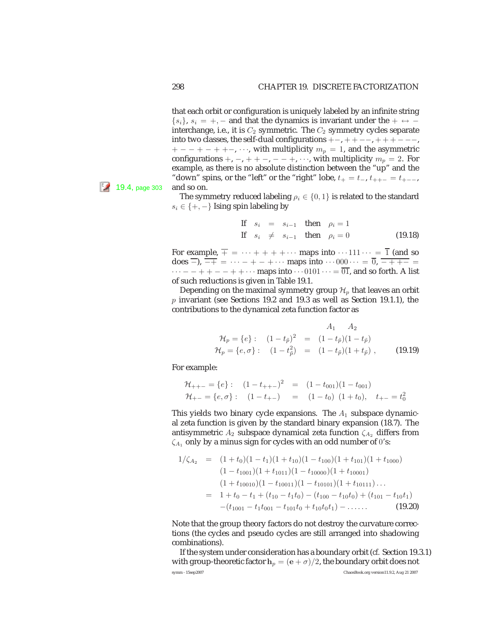that each orbit or configuration is uniquely labeled by an infinite string  $\{s_i\}, s_i = +, -$  and that the dynamics is invariant under the  $+ \leftrightarrow$ interchange, i.e., it is  $C_2$  symmetric. The  $C_2$  symmetry cycles separate into two classes, the self-dual configurations  $+-,++--,+++---,$  $+ - - + - + + -$ , …, with multiplicity  $m_p = 1$ , and the asymmetric configurations +, -, + + -, - - +, ···, with multiplicity  $m_p = 2$ . For example, as there is no absolute distinction between the "up" and the "down" spins, or the "left" or the "right" lobe,  $t_{+} = t_{-}, t_{++-} = t_{+--}$ 

The symmetry reduced labeling  $\rho_i \in \{0, 1\}$  is related to the standard  $s_i \in \{+, -\}$  Ising spin labeling by

If 
$$
s_i = s_{i-1}
$$
 then  $\rho_i = 1$   
\nIf  $s_i \neq s_{i-1}$  then  $\rho_i = 0$  (19.18)

For example,  $\overline{+} = \cdots + + + + \cdots$  maps into  $\cdots 111 \cdots = \overline{1}$  (and so does  $\overline{-}$ ),  $\overline{-+}$  =  $\cdots$  - + - +  $\cdots$  maps into  $\cdots$  000 $\cdots$  =  $\overline{0}$ ,  $\overline{-$  + + - $\cdots$  − + + − − + +  $\cdots$  maps into  $\cdots$  0101  $\cdots$  =  $\overline{01}$ , and so forth. A list of such reductions is given in Table 19.1.

Depending on the maximal symmetry group  $\mathcal{H}_p$  that leaves an orbit  $p$  invariant (see Sections 19.2 and 19.3 as well as Section 19.1.1), the contributions to the dynamical zeta function factor as

$$
\mathcal{H}_p = \{e\} : \quad (1 - t_{\tilde{p}})^2 = (1 - t_{\tilde{p}})(1 - t_{\tilde{p}}) \n\mathcal{H}_p = \{e, \sigma\} : \quad (1 - t_{\tilde{p}})^2 = (1 - t_{\tilde{p}})(1 + t_{\tilde{p}}) , \quad (19.19)
$$

For example:

$$
\mathcal{H}_{++-} = \{e\} : \quad (1 - t_{++-})^2 = (1 - t_{001})(1 - t_{001})
$$
\n
$$
\mathcal{H}_{+-} = \{e, \sigma\} : \quad (1 - t_{+-}) = (1 - t_0)(1 + t_0), \quad t_{+-} = t_0^2
$$

This yields two binary cycle expansions. The  $A_1$  subspace dynamical zeta function is given by the standard binary expansion (18.7). The antisymmetric  $A_2$  subspace dynamical zeta function  $\zeta_{A_2}$  differs from  $\zeta_{A_1}$  only by a minus sign for cycles with an odd number of 0's:

$$
1/\zeta_{A_2} = (1+t_0)(1-t_1)(1+t_{10})(1-t_{100})(1+t_{101})(1+t_{1000})
$$
  
\n
$$
(1-t_{1001})(1+t_{1011})(1-t_{10000})(1+t_{10001})
$$
  
\n
$$
(1+t_{10010})(1-t_{10011})(1-t_{10101})(1+t_{10111})...
$$
  
\n
$$
= 1+t_0-t_1+(t_{10}-t_1t_0)-(t_{100}-t_{10}t_0)+(t_{101}-t_{10}t_1)
$$
  
\n
$$
-(t_{1001}-t_1t_{001}-t_{101}t_0+t_{10}t_0t_1)-......
$$
 (19.20)

Note that the group theory factors do not destroy the curvature corrections (the cycles and pseudo cycles are still arranged into shadowing combinations).

If the system under consideration has a boundary orbit (*cf.* Section 19.3.1) with group-theoretic factor  $\mathbf{h}_p = (\mathbf{e} + \sigma)/2$ , the boundary orbit does not symm-15sep2007 ChaosBook.org version11.9.2, Aug 21 2007

 $19.4$ , page 303 and so on.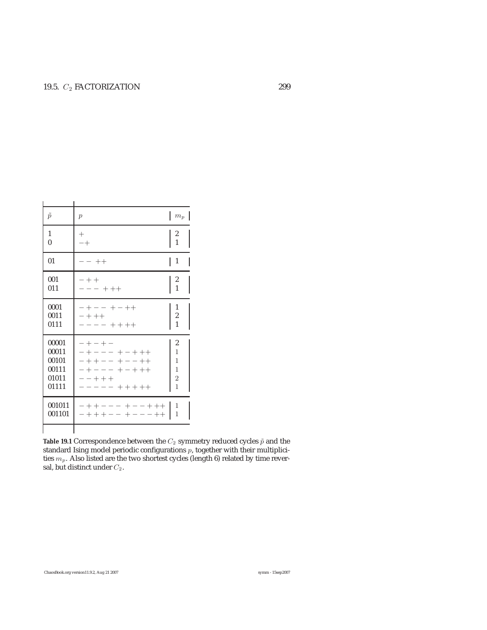| $\tilde{p}$                                        | $\mathcal{p}$                                                                                   | $m_p$                                                                |
|----------------------------------------------------|-------------------------------------------------------------------------------------------------|----------------------------------------------------------------------|
| 1<br>$\mathbf{0}$                                  | $^+$<br>$-+$                                                                                    | $\frac{2}{1}$                                                        |
| 01                                                 | $- - + +$                                                                                       | $\mathbf{1}$<br>$\mathsf{l}$                                         |
| 001<br>011                                         | $- + +$<br>$- - + + +$                                                                          | 2<br>$\mathbf{1}$                                                    |
| 0001<br>0011<br>0111                               | $- + - - + - + +$<br>$- + + +$<br>$- - - + + + + +$                                             | 1<br>$\begin{array}{c} 2 \\ 1 \end{array}$                           |
| 00001<br>00011<br>00101<br>00111<br>01011<br>01111 | $-+ - + -$<br>$- + - - - + - + + +$<br>-++-- +--++<br>-+--- +-+++<br>$- - + + +$<br>----- +++++ | $\overline{c}$<br>$\mathbf{1}$<br>1<br>$\mathbf{1}$<br>$\frac{2}{1}$ |
| 001011<br>001101                                   | -++--- +--+++  <br>$- + + + - - + - - + +$                                                      | 1<br>1                                                               |
|                                                    |                                                                                                 |                                                                      |

**Table 19.1** Correspondence between the  $C_2$  symmetry reduced cycles  $\tilde{p}$  and the standard Ising model periodic configurations  $p$ , together with their multiplicities  $m_p$ . Also listed are the two shortest cycles (length 6) related by time reversal, but distinct under  $C_2$ .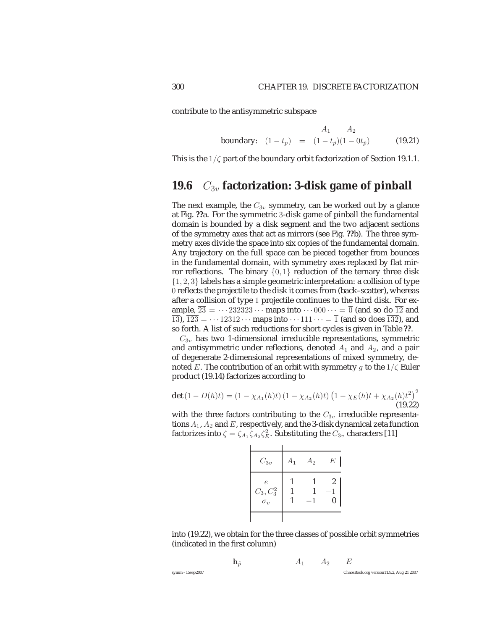contribute to the antisymmetric subspace

$$
A_1 \t A_2
$$
  
boundary:  $(1 - t_p) = (1 - t_{\tilde{p}})(1 - 0t_{\tilde{p}})$  (19.21)

This is the  $1/\zeta$  part of the boundary orbit factorization of Section 19.1.1.

### **19.6** *C*3<sup>v</sup> **factorization: 3-disk game of pinball**

The next example, the  $C_{3v}$  symmetry, can be worked out by a glance at Fig. **??**a. For the symmetric 3-disk game of pinball the fundamental domain is bounded by a disk segment and the two adjacent sections of the symmetry axes that act as mirrors (see Fig. **??**b). The three symmetry axes divide the space into six copies of the fundamental domain. Any trajectory on the full space can be pieced together from bounces in the fundamental domain, with symmetry axes replaced by flat mirror reflections. The binary  $\{0, 1\}$  reduction of the ternary three disk  $\{1, 2, 3\}$  labels has a simple geometric interpretation: a collision of type 0 reflects the projectile to the disk it comes from (back–scatter), whereas after a collision of type 1 projectile continues to the third disk. For example,  $\overline{23} = \cdots 232323 \cdots$  maps into  $\cdots 000 \cdots = \overline{0}$  (and so do  $\overline{12}$  and  $\overline{13}$ ,  $\overline{123} = \cdots 12312 \cdots$  maps into  $\cdots 111 \cdots = \overline{1}$  (and so does  $\overline{132}$ ), and so forth. A list of such reductions for short cycles is given in Table **??**.

 $C_{3v}$  has two 1-dimensional irreducible representations, symmetric and antisymmetric under reflections, denoted  $A_1$  and  $A_2$ , and a pair of degenerate 2-dimensional representations of mixed symmetry, denoted E. The contribution of an orbit with symmetry g to the  $1/\zeta$  Euler product (19.14) factorizes according to

$$
\det (1 - D(h)t) = (1 - \chi_{A_1}(h)t) (1 - \chi_{A_2}(h)t) (1 - \chi_E(h)t + \chi_{A_2}(h)t^2)
$$
\n(19.22)

with the three factors contributing to the  $C_{3v}$  irreducible representations  $A_1$ ,  $A_2$  and  $E$ , respectively, and the 3-disk dynamical zeta function factorizes into  $\zeta = \zeta_{A_1} \zeta_{A_2} \zeta_{E}^2$ . Substituting the  $C_{3v}$  characters [11]

| $C_{3v}$                                 | $A_1$ | A <sub>2</sub> | E                     |
|------------------------------------------|-------|----------------|-----------------------|
| $\epsilon$<br>$C_3, C_3^2$<br>$\sigma_v$ |       | 1              | $\boldsymbol{2}$<br>O |

into (19.22), we obtain for the three classes of possible orbit symmetries (indicated in the first column)

| symm - 15sep2007 |  |  | ChaosBook.org version11.9.2, Aug 21 2007 |
|------------------|--|--|------------------------------------------|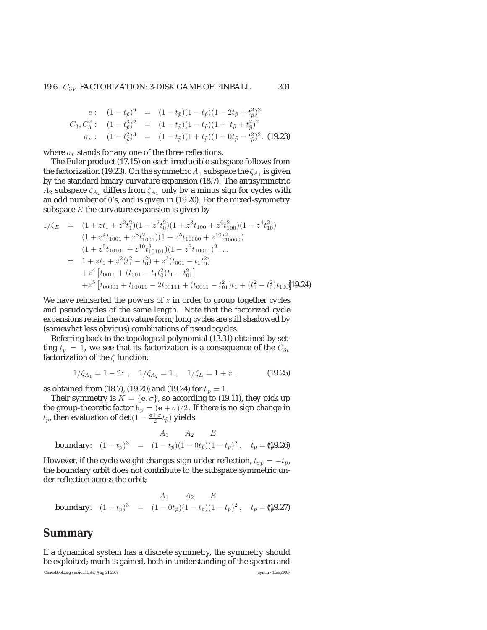#### 19.6.  $C_{3V}$  FACTORIZATION: 3-DISK GAME OF PINBALL 301

$$
e: (1-t_{\tilde{p}})^6 = (1-t_{\tilde{p}})(1-t_{\tilde{p}})(1-2t_{\tilde{p}}+t_{\tilde{p}}^2)^2
$$
  
\n
$$
C_3, C_3^2: (1-t_{\tilde{p}}^3)^2 = (1-t_{\tilde{p}})(1-t_{\tilde{p}})(1+t_{\tilde{p}}+t_{\tilde{p}}^2)^2
$$
  
\n
$$
\sigma_v: (1-t_{\tilde{p}}^2)^3 = (1-t_{\tilde{p}})(1+t_{\tilde{p}})(1+0t_{\tilde{p}}-t_{\tilde{p}}^2)^2.
$$
 (19.23)

where  $\sigma_v$  stands for any one of the three reflections.

The Euler product (17.15) on each irreducible subspace follows from the factorization (19.23). On the symmetric  $A_1$  subspace the  $\zeta_{A_1}$  is given by the standard binary curvature expansion (18.7). The antisymmetric  $A_2$  subspace  $\zeta_{A_2}$  differs from  $\zeta_{A_1}$  only by a minus sign for cycles with an odd number of 0's, and is given in (19.20). For the mixed-symmetry subspace  $E$  the curvature expansion is given by

$$
1/\zeta_E = (1 + zt_1 + z^2t_1^2)(1 - z^2t_0^2)(1 + z^3t_{100} + z^6t_{100}^2)(1 - z^4t_{10}^2)
$$
  
\n
$$
(1 + z^4t_{1001} + z^8t_{1001}^2)(1 + z^5t_{10000} + z^{10}t_{10000}^2)
$$
  
\n
$$
(1 + z^5t_{10101} + z^{10}t_{10101}^2)(1 - z^5t_{10011})^2...
$$
  
\n
$$
= 1 + zt_1 + z^2(t_1^2 - t_0^2) + z^3(t_{001} - t_1t_0^2)
$$
  
\n
$$
+ z^4[t_{0011} + (t_{001} - t_1t_0^2)t_1 - t_{01}^2]
$$
  
\n
$$
+ z^5[t_{00001} + t_{01011} - 2t_{00111} + (t_{0011} - t_0^2)t_1 + (t_1^2 - t_0^2)t_{100}]19.24
$$

We have reinserted the powers of  $z$  in order to group together cycles and pseudocycles of the same length. Note that the factorized cycle expansions retain the curvature form; long cycles are still shadowed by (somewhat less obvious) combinations of pseudocycles.

Referring back to the topological polynomial (13.31) obtained by setting  $t_p = 1$ , we see that its factorization is a consequence of the  $C_{3v}$ factorization of the  $\zeta$  function:

$$
1/\zeta_{A_1} = 1 - 2z \ , \quad 1/\zeta_{A_2} = 1 \ , \quad 1/\zeta_E = 1 + z \ , \tag{19.25}
$$

as obtained from (18.7), (19.20) and (19.24) for  $t_p = 1$ .

Their symmetry is  $K = \{e, \sigma\}$ , so according to (19.11), they pick up the group-theoretic factor  $\mathbf{h}_p = (\mathbf{e} + \sigma)/2$ . If there is no sign change in  $t_p$ , then evaluation of det  $(1 - \frac{e + \sigma}{2} t_{\tilde{p}})$  yields

$$
A_1 \t A_2 \t E
$$
  
boundary:  $(1-t_p)^3 = (1-t_{\tilde{p}})(1-0t_{\tilde{p}})(1-t_{\tilde{p}})^2$ ,  $t_p = (1.49.26)$ 

However, if the cycle weight changes sign under reflection,  $t_{\sigma\tilde{p}} = -t_{\tilde{p}}$ , the boundary orbit does not contribute to the subspace symmetric under reflection across the orbit;

$$
A_1 \t A_2 \t E
$$
  
boundary:  $(1-t_p)^3 = (1-0t_{\tilde{p}})(1-t_{\tilde{p}})(1-t_{\tilde{p}})^2$ ,  $t_p = (1.9.27)$ 

### **Summary**

If a dynamical system has a discrete symmetry, the symmetry should be exploited; much is gained, both in understanding of the spectra and

ChaosBook.org version11.9.2, Aug 21 2007 symm - 15sep2007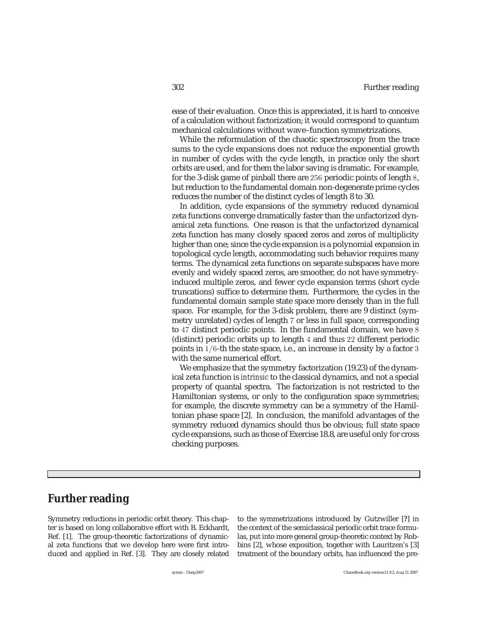ease of their evaluation. Once this is appreciated, it is hard to conceive of a calculation without factorization; it would correspond to quantum mechanical calculations without wave–function symmetrizations.

While the reformulation of the chaotic spectroscopy from the trace sums to the cycle expansions does not reduce the exponential growth in number of cycles with the cycle length, in practice only the short orbits are used, and for them the labor saving is dramatic. For example, for the 3-disk game of pinball there are 256 periodic points of length 8, but reduction to the fundamental domain non-degenerate prime cycles reduces the number of the distinct cycles of length 8 to 30.

In addition, cycle expansions of the symmetry reduced dynamical zeta functions converge dramatically faster than the unfactorized dynamical zeta functions. One reason is that the unfactorized dynamical zeta function has many closely spaced zeros and zeros of multiplicity higher than one; since the cycle expansion is a polynomial expansion in topological cycle length, accommodating such behavior requires many terms. The dynamical zeta functions on separate subspaces have more evenly and widely spaced zeros, are smoother, do not have symmetryinduced multiple zeros, and fewer cycle expansion terms (short cycle truncations) suffice to determine them. Furthermore, the cycles in the fundamental domain sample state space more densely than in the full space. For example, for the 3-disk problem, there are 9 distinct (symmetry unrelated) cycles of length 7 or less in full space, corresponding to 47 distinct periodic points. In the fundamental domain, we have 8 (distinct) periodic orbits up to length 4 and thus 22 different periodic points in 1/6-th the state space, i.e., an increase in density by a factor 3 with the same numerical effort.

We emphasize that the symmetry factorization (19.23) of the dynamical zeta function is *intrinsic* to the classical dynamics, and not a special property of quantal spectra. The factorization is not restricted to the Hamiltonian systems, or only to the configuration space symmetries; for example, the discrete symmetry can be a symmetry of the Hamiltonian phase space [2]. In conclusion, the manifold advantages of the symmetry reduced dynamics should thus be obvious; full state space cycle expansions, such as those of Exercise 18.8, are useful only for cross checking purposes.

### **Further reading**

Symmetry reductions in periodic orbit theory. This chapter is based on long collaborative effort with B. Eckhardt, Ref. [1]. The group-theoretic factorizations of dynamical zeta functions that we develop here were first introduced and applied in Ref. [3]. They are closely related to the symmetrizations introduced by Gutzwiller [**?**] in the context of the semiclassical periodic orbit trace formulas, put into more general group-theoretic context by Robbins [2], whose exposition, together with Lauritzen's [3] treatment of the boundary orbits, has influenced the pre-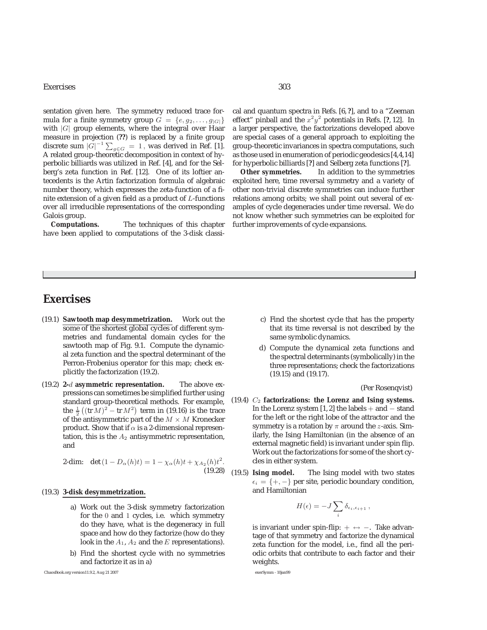#### Exercises 303

sentation given here. The symmetry reduced trace formula for a finite symmetry group  $G = \{e, g_2, \ldots, g_{|G|}\}\$ with  $|G|$  group elements, where the integral over Haar measure in projection (**??**) is replaced by a finite group discrete sum  $|\vec{G}|^{-1} \sum_{g \in G} = 1$ , was derived in Ref. [1]. A related group-theoretic decomposition in context of hyperbolic billiards was utilized in Ref. [4], and for the Selberg's zeta function in Ref. [12]. One of its loftier antecedents is the Artin factorization formula of algebraic number theory, which expresses the zeta-function of a finite extension of a given field as a product of  $L$ -functions over all irreducible representations of the corresponding Galois group.

**Computations.** The techniques of this chapter have been applied to computations of the 3-disk classical and quantum spectra in Refs. [6, **?**], and to a "Zeeman effect" pinball and the  $x^2y^2$  potentials in Refs. [?, 12]. In a larger perspective, the factorizations developed above are special cases of a general approach to exploiting the group-theoretic invariances in spectra computations, such as those used in enumeration of periodic geodesics [4,4,14] for hyperbolic billiards [**?**] and Selberg zeta functions [**?**].

**Other symmetries.** In addition to the symmetries exploited here, time reversal symmetry and a variety of other non-trivial discrete symmetries can induce further relations among orbits; we shall point out several of examples of cycle degeneracies under time reversal. We do not know whether such symmetries can be exploited for further improvements of cycle expansions.

### **Exercises**

- (19.1) **Sawtooth map desymmetrization.** Work out the some of the shortest global cycles of different symmetries and fundamental domain cycles for the sawtooth map of Fig. 9.1. Compute the dynamical zeta function and the spectral determinant of the Perron-Frobenius operator for this map; check explicitly the factorization (19.2).
- (19.2) **2-**d **asymmetric representation.** The above expressions can sometimes be simplified further using standard group-theoretical methods. For example, the  $\frac{1}{2}((tr M)^2 - tr M^2)$  term in (19.16) is the trace<br>of the antisymmetric part of the  $M \times M$  Kronecker of the antisymmetric part of the  $M \times M$  Kronecker product. Show that if  $\alpha$  is a 2-dimensional representation, this is the  $A_2$  antisymmetric representation, and

2-dim: det 
$$
(1 - D_{\alpha}(h)t) = 1 - \chi_{\alpha}(h)t + \chi_{A_2}(h)t^2
$$
. (19.28)

#### (19.3) **3-disk desymmetrization.**

- a) Work out the 3-disk symmetry factorization for the 0 and 1 cycles, i.e. which symmetry do they have, what is the degeneracy in full space and how do they factorize (how do they look in the  $A_1$ ,  $A_2$  and the  $E$  representations).
- b) Find the shortest cycle with no symmetries and factorize it as in a)

ChaosBook.org version11.9.2, Aug 21 2007 exerSymm - 10jan99

- c) Find the shortest cycle that has the property that its time reversal is not described by the same symbolic dynamics.
- d) Compute the dynamical zeta functions and the spectral determinants (symbolically) in the three representations; check the factorizations (19.15) and (19.17).

#### (Per Rosenqvist)

- (19.4) C<sup>2</sup> **factorizations: the Lorenz and Ising systems.** In the Lorenz system [1, 2] the labels + and <sup>−</sup> stand for the left or the right lobe of the attractor and the symmetry is a rotation by  $\pi$  around the *z*-axis. Similarly, the Ising Hamiltonian (in the absence of an external magnetic field) is invariant under spin flip. Work out the factorizations for some of the short cycles in either system.
- (19.5) **Ising model.** The Ising model with two states  $\epsilon_i = \{+, -\}$  per site, periodic boundary condition, and Hamiltonian

$$
H(\epsilon) = -J \sum_{i} \delta_{\epsilon_i, \epsilon_{i+1}},
$$

is invariant under spin-flip:  $+ \leftrightarrow -$ . Take advantage of that symmetry and factorize the dynamical zeta function for the model, i.e., find all the periodic orbits that contribute to each factor and their weights.